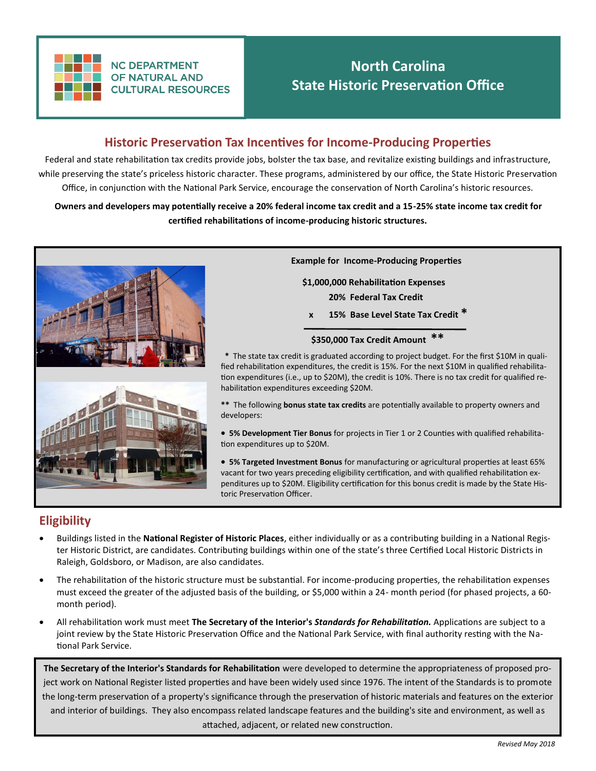

**NC DEPARTMENT OF NATURAL AND CULTURAL RESOURCES** 

# **North Carolina State Historic Preservation Office**

### **Historic Preservation Tax Incentives for Income-Producing Properties**

Federal and state rehabilitation tax credits provide jobs, bolster the tax base, and revitalize existing buildings and infrastructure, while preserving the state's priceless historic character. These programs, administered by our office, the State Historic Preservation Office, in conjunction with the National Park Service, encourage the conservation of North Carolina's historic resources.

**Owners and developers may potentially receive a 20% federal income tax credit and a 15-25% state income tax credit for certified rehabilitations of income-producing historic structures.**



**Example for Income-Producing Properties**

 **\$1,000,000 Rehabilitation Expenses 20% Federal Tax Credit**

 **x 15% Base Level State Tax Credit \*** 

#### **\$350,000 Tax Credit Amount \*\***

 **\*** The state tax credit is graduated according to project budget. For the first \$10M in qualified rehabilitation expenditures, the credit is 15%. For the next \$10M in qualified rehabilitation expenditures (i.e., up to \$20M), the credit is 10%. There is no tax credit for qualified rehabilitation expenditures exceeding \$20M.

**\*\*** The following **bonus state tax credits** are potentially available to property owners and developers:

- **5% Development Tier Bonus** for projects in Tier 1 or 2 Counties with qualified rehabilitation expenditures up to \$20M.
- **5% Targeted Investment Bonus** for manufacturing or agricultural properties at least 65% vacant for two years preceding eligibility certification, and with qualified rehabilitation expenditures up to \$20M. Eligibility certification for this bonus credit is made by the State Historic Preservation Officer.

### **Eligibility**

- Buildings listed in the **National Register of Historic Places**, either individually or as a contributing building in a National Register Historic District, are candidates. Contributing buildings within one of the state's three Certified Local Historic Districts in Raleigh, Goldsboro, or Madison, are also candidates.
- The rehabilitation of the historic structure must be substantial. For income-producing properties, the rehabilitation expenses must exceed the greater of the adjusted basis of the building, or \$5,000 within a 24- month period (for phased projects, a 60 month period).
- All rehabilitation work must meet **The Secretary of the Interior's** *Standards for Rehabilitation.* Applications are subject to a joint review by the State Historic Preservation Office and the National Park Service, with final authority resting with the National Park Service.

**The Secretary of the Interior's Standards for Rehabilitation** were developed to determine the appropriateness of proposed project work on National Register listed properties and have been widely used since 1976. The intent of the Standards is to promote the long-term preservation of a property's significance through the preservation of historic materials and features on the exterior and interior of buildings. They also encompass related landscape features and the building's site and environment, as well as attached, adjacent, or related new construction.